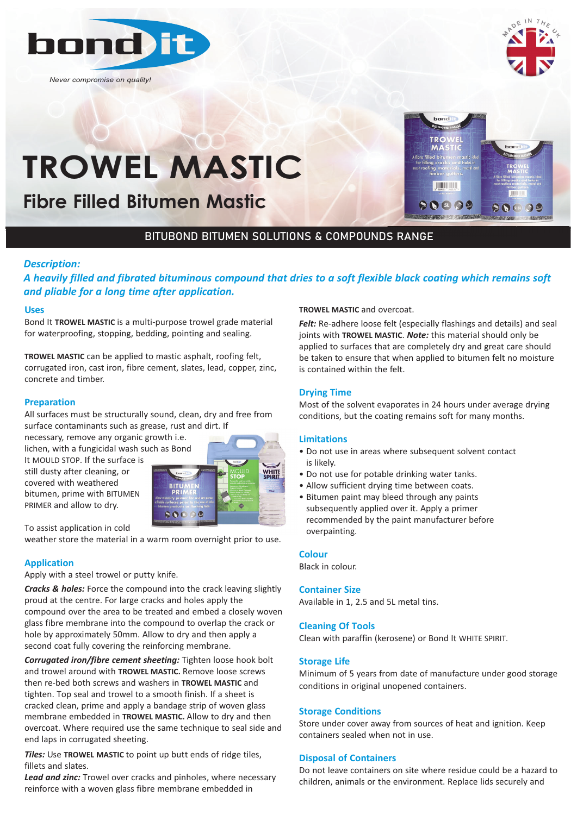

*Never compromise on quality!*



 $(2.51)$   $\odot$ 

# **TROWEL MASTIC**

**Fibre Filled Bitumen Mastic**

# BITUBOND BITUMEN SOLUTIONS & COMPOUNDS RANGE

# *Description:*

*A heavily filled and fibrated bituminous compound that dries to a soft flexible black coating which remains soft and pliable for a long time after application.*

#### **Uses**

Bond It **TROWEL MASTIC** is a multi-purpose trowel grade material for waterproofing, stopping, bedding, pointing and sealing.

**TROWEL MASTIC** can be applied to mastic asphalt, roofing felt, corrugated iron, cast iron, fibre cement, slates, lead, copper, zinc, concrete and timber.

#### **Preparation**

All surfaces must be structurally sound, clean, dry and free from surface contaminants such as grease, rust and dirt. If

necessary, remove any organic growth i.e. lichen, with a fungicidal wash such as Bond

It MOULD STOP. If the surface is still dusty after cleaning, or covered with weathered bitumen, prime with BITUMEN PRIMER and allow to dry.



To assist application in cold

weather store the material in a warm room overnight prior to use.

# **Application**

Apply with a steel trowel or putty knife.

*Cracks & holes:* Force the compound into the crack leaving slightly proud at the centre. For large cracks and holes apply the compound over the area to be treated and embed a closely woven glass fibre membrane into the compound to overlap the crack or hole by approximately 50mm. Allow to dry and then apply a second coat fully covering the reinforcing membrane.

*Corrugated iron/fibre cement sheeting:* Tighten loose hook bolt and trowel around with **TROWEL MASTIC.** Remove loose screws then re-bed both screws and washers in **TROWEL MASTIC** and tighten. Top seal and trowel to a smooth finish. If a sheet is cracked clean, prime and apply a bandage strip of woven glass membrane embedded in **TROWEL MASTIC.** Allow to dry and then overcoat. Where required use the same technique to seal side and end laps in corrugated sheeting.

*Tiles:* Use **TROWEL MASTIC** to point up butt ends of ridge tiles, fillets and slates.

*Lead and zinc:* Trowel over cracks and pinholes, where necessary reinforce with a woven glass fibre membrane embedded in

#### **TROWEL MASTIC** and overcoat.

*Felt:* Re-adhere loose felt (especially flashings and details) and seal joints with **TROWEL MASTIC**. *Note:* this material should only be applied to surfaces that are completely dry and great care should be taken to ensure that when applied to bitumen felt no moisture is contained within the felt.

**TILL LITTLE** 

 $90009$ 

#### **Drying Time**

Most of the solvent evaporates in 24 hours under average drying conditions, but the coating remains soft for many months.

#### **Limitations**

- Do not use in areas where subsequent solvent contact is likely.
- Do not use for potable drinking water tanks.
- Allow sufficient drying time between coats.
- Bitumen paint may bleed through any paints subsequently applied over it. Apply a primer recommended by the paint manufacturer before overpainting.

#### **Colour**

Black in colour.

#### **Container Size**

Available in 1, 2.5 and 5L metal tins.

#### **Cleaning Of Tools**

Clean with paraffin (kerosene) or Bond It WHITE SPIRIT.

#### **Storage Life**

Minimum of 5 years from date of manufacture under good storage conditions in original unopened containers.

#### **Storage Conditions**

Store under cover away from sources of heat and ignition. Keep containers sealed when not in use.

#### **Disposal of Containers**

Do not leave containers on site where residue could be a hazard to children, animals or the environment. Replace lids securely and